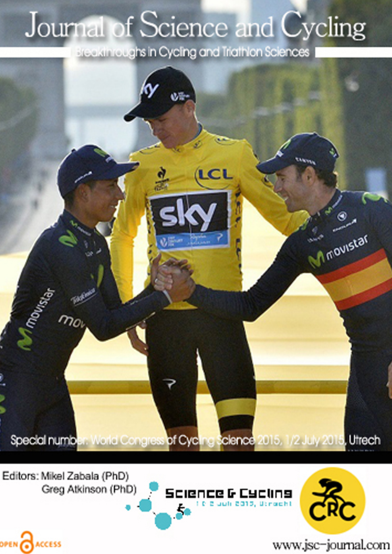## Journal of Science and Cycling

Breakthroughs in Cycling and Triathlon Sciences



Editors: Mikel Zabala (PhD) Greg Atkinson (PhD)

OPEN CACCESS





www.jsc-journal.com